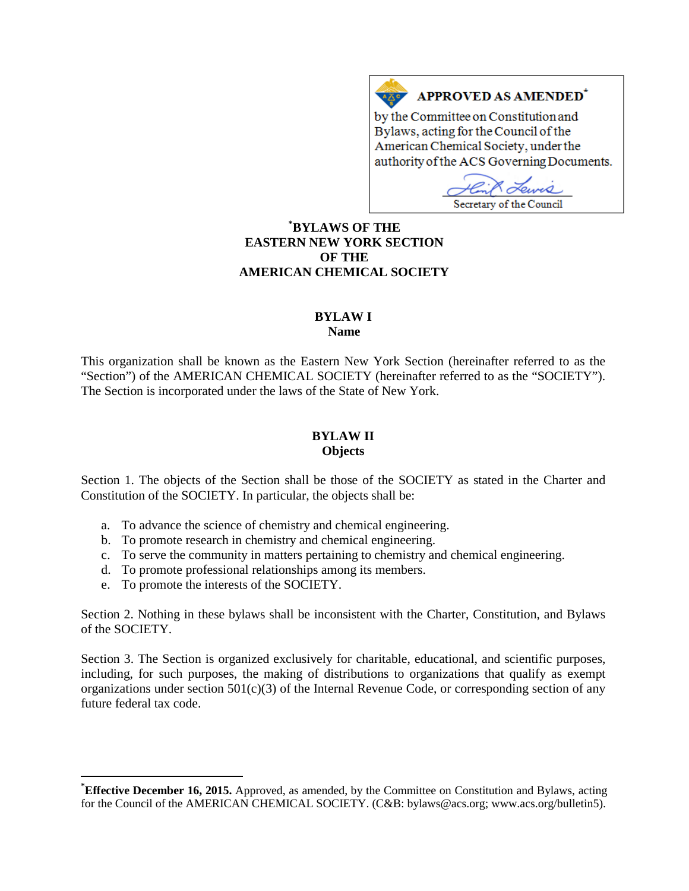#### APPROVED AS AMENDED<sup>\*</sup>  $A \underline{X}$

by the Committee on Constitution and Bylaws, acting for the Council of the American Chemical Society, under the authority of the ACS Governing Documents.

ama Secretary of the Council

# **[\\*](#page-0-0) BYLAWS OF THE EASTERN NEW YORK SECTION OF THE AMERICAN CHEMICAL SOCIETY**

# **BYLAW I**

**Name**

This organization shall be known as the Eastern New York Section (hereinafter referred to as the "Section") of the AMERICAN CHEMICAL SOCIETY (hereinafter referred to as the "SOCIETY"). The Section is incorporated under the laws of the State of New York.

# **BYLAW II**

**Objects**

Section 1. The objects of the Section shall be those of the SOCIETY as stated in the Charter and Constitution of the SOCIETY. In particular, the objects shall be:

- a. To advance the science of chemistry and chemical engineering.
- b. To promote research in chemistry and chemical engineering.
- c. To serve the community in matters pertaining to chemistry and chemical engineering.
- d. To promote professional relationships among its members.
- e. To promote the interests of the SOCIETY.

Section 2. Nothing in these bylaws shall be inconsistent with the Charter, Constitution, and Bylaws of the SOCIETY.

Section 3. The Section is organized exclusively for charitable, educational, and scientific purposes, including, for such purposes, the making of distributions to organizations that qualify as exempt organizations under section  $501(c)(3)$  of the Internal Revenue Code, or corresponding section of any future federal tax code.

<span id="page-0-0"></span>**\* Effective December 16, 2015.** Approved, as amended, by the Committee on Constitution and Bylaws, acting for the Council of the AMERICAN CHEMICAL SOCIETY. (C&B: bylaws@acs.org; www.acs.org/bulletin5).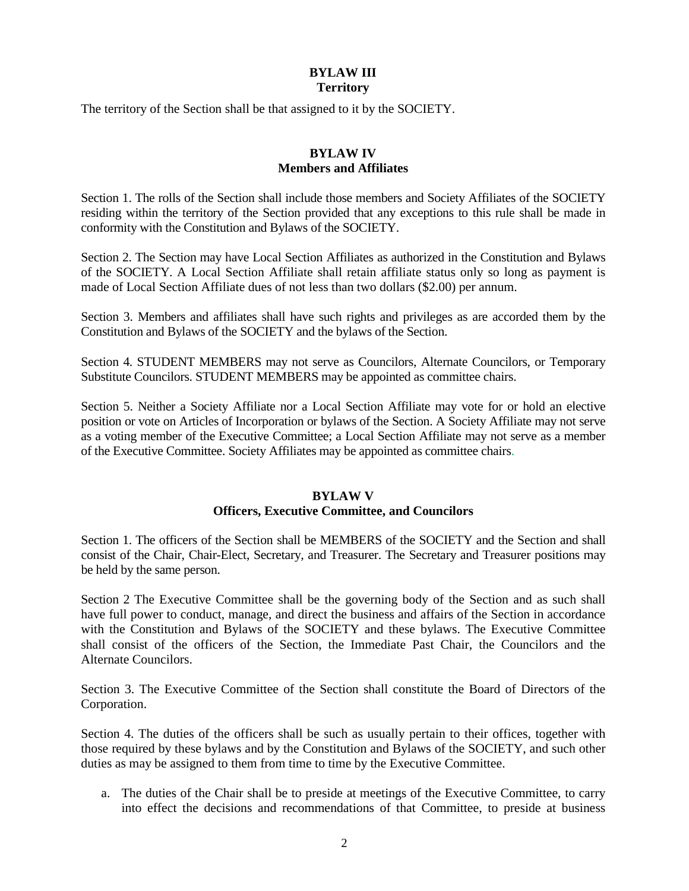# **BYLAW III Territory**

The territory of the Section shall be that assigned to it by the SOCIETY.

# **BYLAW IV Members and Affiliates**

Section 1. The rolls of the Section shall include those members and Society Affiliates of the SOCIETY residing within the territory of the Section provided that any exceptions to this rule shall be made in conformity with the Constitution and Bylaws of the SOCIETY.

Section 2. The Section may have Local Section Affiliates as authorized in the Constitution and Bylaws of the SOCIETY. A Local Section Affiliate shall retain affiliate status only so long as payment is made of Local Section Affiliate dues of not less than two dollars (\$2.00) per annum.

Section 3. Members and affiliates shall have such rights and privileges as are accorded them by the Constitution and Bylaws of the SOCIETY and the bylaws of the Section.

Section 4. STUDENT MEMBERS may not serve as Councilors, Alternate Councilors, or Temporary Substitute Councilors. STUDENT MEMBERS may be appointed as committee chairs.

Section 5. Neither a Society Affiliate nor a Local Section Affiliate may vote for or hold an elective position or vote on Articles of Incorporation or bylaws of the Section. A Society Affiliate may not serve as a voting member of the Executive Committee; a Local Section Affiliate may not serve as a member of the Executive Committee. Society Affiliates may be appointed as committee chairs.

## **BYLAW V**

## **Officers, Executive Committee, and Councilors**

Section 1. The officers of the Section shall be MEMBERS of the SOCIETY and the Section and shall consist of the Chair, Chair-Elect, Secretary, and Treasurer. The Secretary and Treasurer positions may be held by the same person.

Section 2 The Executive Committee shall be the governing body of the Section and as such shall have full power to conduct, manage, and direct the business and affairs of the Section in accordance with the Constitution and Bylaws of the SOCIETY and these bylaws. The Executive Committee shall consist of the officers of the Section, the Immediate Past Chair, the Councilors and the Alternate Councilors.

Section 3. The Executive Committee of the Section shall constitute the Board of Directors of the Corporation.

Section 4. The duties of the officers shall be such as usually pertain to their offices, together with those required by these bylaws and by the Constitution and Bylaws of the SOCIETY, and such other duties as may be assigned to them from time to time by the Executive Committee.

a. The duties of the Chair shall be to preside at meetings of the Executive Committee, to carry into effect the decisions and recommendations of that Committee, to preside at business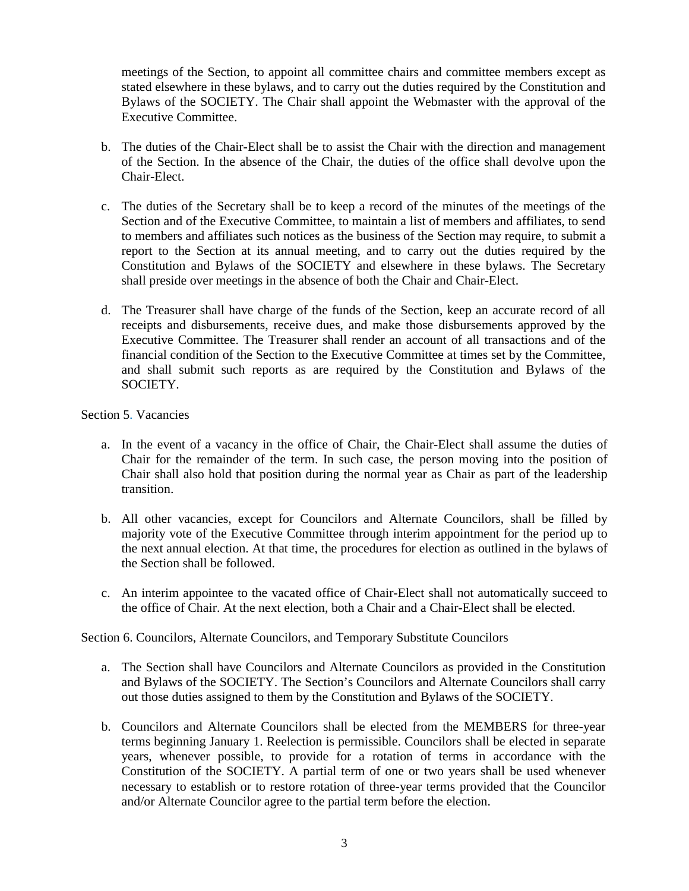meetings of the Section, to appoint all committee chairs and committee members except as stated elsewhere in these bylaws, and to carry out the duties required by the Constitution and Bylaws of the SOCIETY. The Chair shall appoint the Webmaster with the approval of the Executive Committee.

- b. The duties of the Chair-Elect shall be to assist the Chair with the direction and management of the Section. In the absence of the Chair, the duties of the office shall devolve upon the Chair-Elect.
- c. The duties of the Secretary shall be to keep a record of the minutes of the meetings of the Section and of the Executive Committee, to maintain a list of members and affiliates, to send to members and affiliates such notices as the business of the Section may require, to submit a report to the Section at its annual meeting, and to carry out the duties required by the Constitution and Bylaws of the SOCIETY and elsewhere in these bylaws. The Secretary shall preside over meetings in the absence of both the Chair and Chair-Elect.
- d. The Treasurer shall have charge of the funds of the Section, keep an accurate record of all receipts and disbursements, receive dues, and make those disbursements approved by the Executive Committee. The Treasurer shall render an account of all transactions and of the financial condition of the Section to the Executive Committee at times set by the Committee, and shall submit such reports as are required by the Constitution and Bylaws of the SOCIETY.

### Section 5. Vacancies

- a. In the event of a vacancy in the office of Chair, the Chair-Elect shall assume the duties of Chair for the remainder of the term. In such case, the person moving into the position of Chair shall also hold that position during the normal year as Chair as part of the leadership transition.
- b. All other vacancies, except for Councilors and Alternate Councilors, shall be filled by majority vote of the Executive Committee through interim appointment for the period up to the next annual election. At that time, the procedures for election as outlined in the bylaws of the Section shall be followed.
- c. An interim appointee to the vacated office of Chair-Elect shall not automatically succeed to the office of Chair. At the next election, both a Chair and a Chair-Elect shall be elected.

#### Section 6. Councilors, Alternate Councilors, and Temporary Substitute Councilors

- a. The Section shall have Councilors and Alternate Councilors as provided in the Constitution and Bylaws of the SOCIETY. The Section's Councilors and Alternate Councilors shall carry out those duties assigned to them by the Constitution and Bylaws of the SOCIETY.
- b. Councilors and Alternate Councilors shall be elected from the MEMBERS for three-year terms beginning January 1. Reelection is permissible. Councilors shall be elected in separate years, whenever possible, to provide for a rotation of terms in accordance with the Constitution of the SOCIETY. A partial term of one or two years shall be used whenever necessary to establish or to restore rotation of three-year terms provided that the Councilor and/or Alternate Councilor agree to the partial term before the election.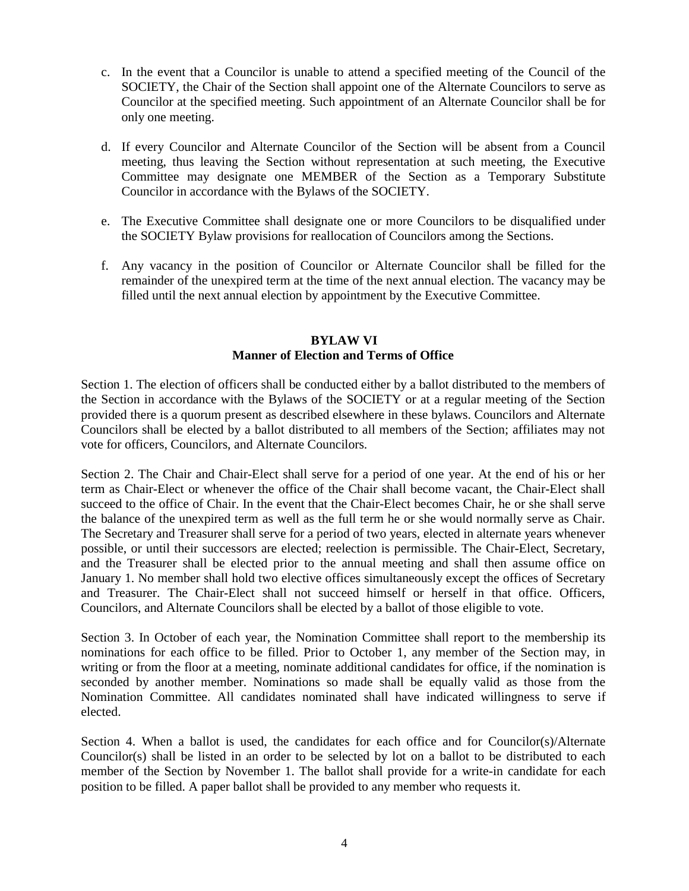- c. In the event that a Councilor is unable to attend a specified meeting of the Council of the SOCIETY, the Chair of the Section shall appoint one of the Alternate Councilors to serve as Councilor at the specified meeting. Such appointment of an Alternate Councilor shall be for only one meeting.
- d. If every Councilor and Alternate Councilor of the Section will be absent from a Council meeting, thus leaving the Section without representation at such meeting, the Executive Committee may designate one MEMBER of the Section as a Temporary Substitute Councilor in accordance with the Bylaws of the SOCIETY.
- e. The Executive Committee shall designate one or more Councilors to be disqualified under the SOCIETY Bylaw provisions for reallocation of Councilors among the Sections.
- f. Any vacancy in the position of Councilor or Alternate Councilor shall be filled for the remainder of the unexpired term at the time of the next annual election. The vacancy may be filled until the next annual election by appointment by the Executive Committee.

### **BYLAW VI Manner of Election and Terms of Office**

Section 1. The election of officers shall be conducted either by a ballot distributed to the members of the Section in accordance with the Bylaws of the SOCIETY or at a regular meeting of the Section provided there is a quorum present as described elsewhere in these bylaws. Councilors and Alternate Councilors shall be elected by a ballot distributed to all members of the Section; affiliates may not vote for officers, Councilors, and Alternate Councilors.

Section 2. The Chair and Chair-Elect shall serve for a period of one year. At the end of his or her term as Chair-Elect or whenever the office of the Chair shall become vacant, the Chair-Elect shall succeed to the office of Chair. In the event that the Chair-Elect becomes Chair, he or she shall serve the balance of the unexpired term as well as the full term he or she would normally serve as Chair. The Secretary and Treasurer shall serve for a period of two years, elected in alternate years whenever possible, or until their successors are elected; reelection is permissible. The Chair-Elect, Secretary, and the Treasurer shall be elected prior to the annual meeting and shall then assume office on January 1. No member shall hold two elective offices simultaneously except the offices of Secretary and Treasurer. The Chair-Elect shall not succeed himself or herself in that office. Officers, Councilors, and Alternate Councilors shall be elected by a ballot of those eligible to vote.

Section 3. In October of each year, the Nomination Committee shall report to the membership its nominations for each office to be filled. Prior to October 1, any member of the Section may, in writing or from the floor at a meeting, nominate additional candidates for office, if the nomination is seconded by another member. Nominations so made shall be equally valid as those from the Nomination Committee. All candidates nominated shall have indicated willingness to serve if elected.

Section 4. When a ballot is used, the candidates for each office and for Councilor(s)/Alternate Councilor(s) shall be listed in an order to be selected by lot on a ballot to be distributed to each member of the Section by November 1. The ballot shall provide for a write-in candidate for each position to be filled. A paper ballot shall be provided to any member who requests it.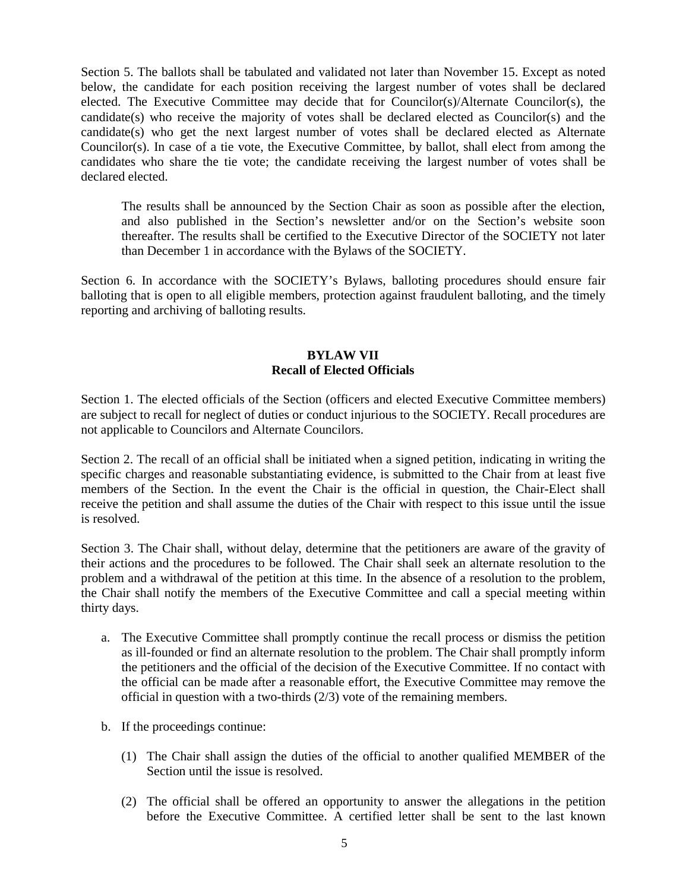Section 5. The ballots shall be tabulated and validated not later than November 15. Except as noted below, the candidate for each position receiving the largest number of votes shall be declared elected. The Executive Committee may decide that for Councilor(s)/Alternate Councilor(s), the candidate(s) who receive the majority of votes shall be declared elected as Councilor(s) and the candidate(s) who get the next largest number of votes shall be declared elected as Alternate Councilor(s). In case of a tie vote, the Executive Committee, by ballot, shall elect from among the candidates who share the tie vote; the candidate receiving the largest number of votes shall be declared elected.

The results shall be announced by the Section Chair as soon as possible after the election, and also published in the Section's newsletter and/or on the Section's website soon thereafter. The results shall be certified to the Executive Director of the SOCIETY not later than December 1 in accordance with the Bylaws of the SOCIETY.

Section 6. In accordance with the SOCIETY's Bylaws, balloting procedures should ensure fair balloting that is open to all eligible members, protection against fraudulent balloting, and the timely reporting and archiving of balloting results.

# **BYLAW VII Recall of Elected Officials**

Section 1. The elected officials of the Section (officers and elected Executive Committee members) are subject to recall for neglect of duties or conduct injurious to the SOCIETY. Recall procedures are not applicable to Councilors and Alternate Councilors.

Section 2. The recall of an official shall be initiated when a signed petition, indicating in writing the specific charges and reasonable substantiating evidence, is submitted to the Chair from at least five members of the Section. In the event the Chair is the official in question, the Chair-Elect shall receive the petition and shall assume the duties of the Chair with respect to this issue until the issue is resolved.

Section 3. The Chair shall, without delay, determine that the petitioners are aware of the gravity of their actions and the procedures to be followed. The Chair shall seek an alternate resolution to the problem and a withdrawal of the petition at this time. In the absence of a resolution to the problem, the Chair shall notify the members of the Executive Committee and call a special meeting within thirty days.

- a. The Executive Committee shall promptly continue the recall process or dismiss the petition as ill-founded or find an alternate resolution to the problem. The Chair shall promptly inform the petitioners and the official of the decision of the Executive Committee. If no contact with the official can be made after a reasonable effort, the Executive Committee may remove the official in question with a two-thirds (2/3) vote of the remaining members.
- b. If the proceedings continue:
	- (1) The Chair shall assign the duties of the official to another qualified MEMBER of the Section until the issue is resolved.
	- (2) The official shall be offered an opportunity to answer the allegations in the petition before the Executive Committee. A certified letter shall be sent to the last known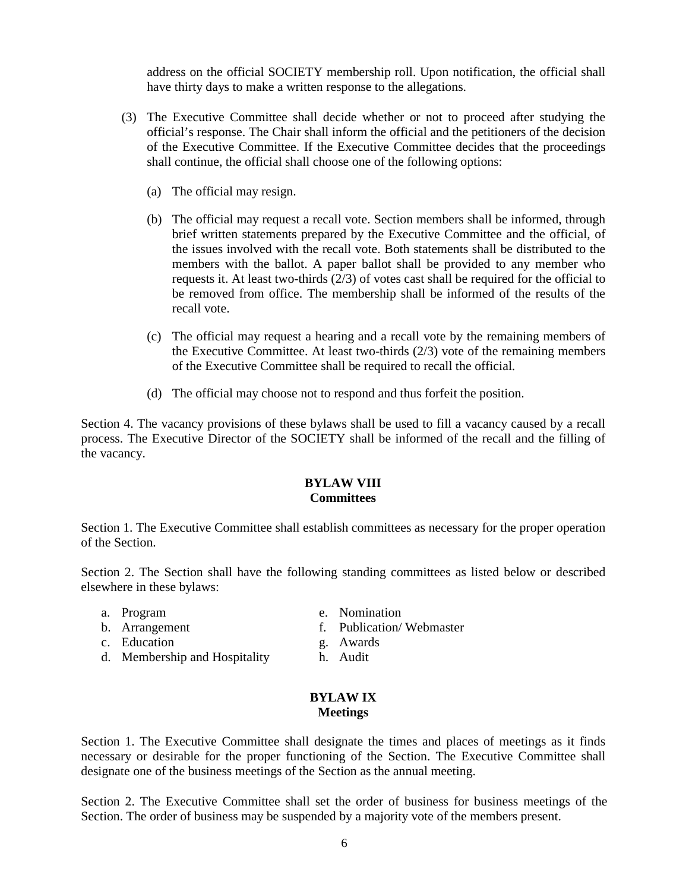address on the official SOCIETY membership roll. Upon notification, the official shall have thirty days to make a written response to the allegations.

- (3) The Executive Committee shall decide whether or not to proceed after studying the official's response. The Chair shall inform the official and the petitioners of the decision of the Executive Committee. If the Executive Committee decides that the proceedings shall continue, the official shall choose one of the following options:
	- (a) The official may resign.
	- (b) The official may request a recall vote. Section members shall be informed, through brief written statements prepared by the Executive Committee and the official, of the issues involved with the recall vote. Both statements shall be distributed to the members with the ballot. A paper ballot shall be provided to any member who requests it. At least two-thirds (2/3) of votes cast shall be required for the official to be removed from office. The membership shall be informed of the results of the recall vote.
	- (c) The official may request a hearing and a recall vote by the remaining members of the Executive Committee. At least two-thirds  $(2/3)$  vote of the remaining members of the Executive Committee shall be required to recall the official.
	- (d) The official may choose not to respond and thus forfeit the position.

Section 4. The vacancy provisions of these bylaws shall be used to fill a vacancy caused by a recall process. The Executive Director of the SOCIETY shall be informed of the recall and the filling of the vacancy.

### **BYLAW VIII Committees**

Section 1. The Executive Committee shall establish committees as necessary for the proper operation of the Section.

Section 2. The Section shall have the following standing committees as listed below or described elsewhere in these bylaws:

- a. Program
- b. Arrangement

d. Membership and Hospitality

c. Education

- e. Nomination
- f. Publication/ Webmaster
- g. Awards
- h. Audit

#### **BYLAW IX Meetings**

Section 1. The Executive Committee shall designate the times and places of meetings as it finds necessary or desirable for the proper functioning of the Section. The Executive Committee shall designate one of the business meetings of the Section as the annual meeting.

Section 2. The Executive Committee shall set the order of business for business meetings of the Section. The order of business may be suspended by a majority vote of the members present.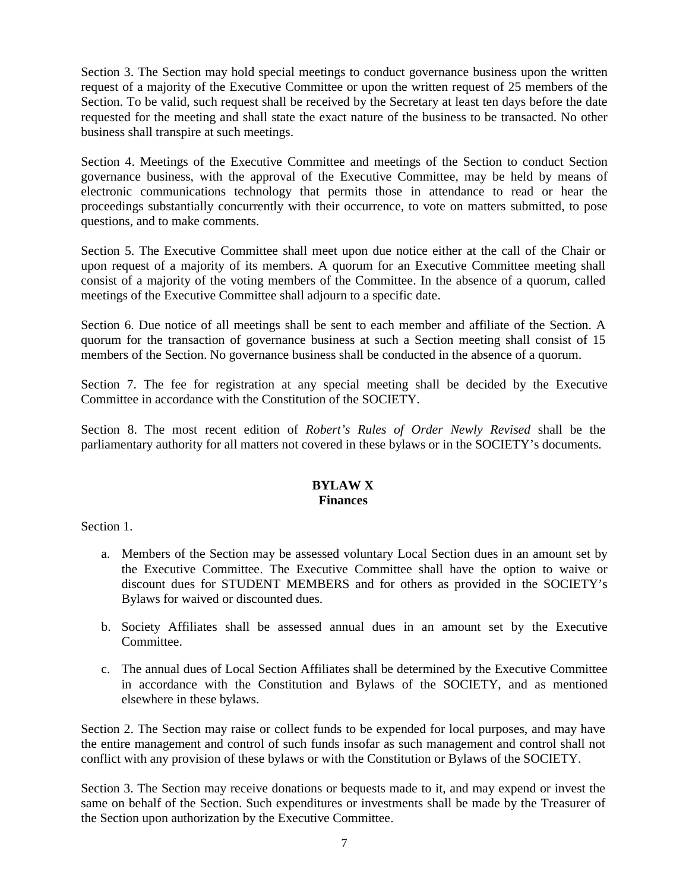Section 3. The Section may hold special meetings to conduct governance business upon the written request of a majority of the Executive Committee or upon the written request of 25 members of the Section. To be valid, such request shall be received by the Secretary at least ten days before the date requested for the meeting and shall state the exact nature of the business to be transacted. No other business shall transpire at such meetings.

Section 4. Meetings of the Executive Committee and meetings of the Section to conduct Section governance business, with the approval of the Executive Committee, may be held by means of electronic communications technology that permits those in attendance to read or hear the proceedings substantially concurrently with their occurrence, to vote on matters submitted, to pose questions, and to make comments.

Section 5. The Executive Committee shall meet upon due notice either at the call of the Chair or upon request of a majority of its members. A quorum for an Executive Committee meeting shall consist of a majority of the voting members of the Committee. In the absence of a quorum, called meetings of the Executive Committee shall adjourn to a specific date.

Section 6. Due notice of all meetings shall be sent to each member and affiliate of the Section. A quorum for the transaction of governance business at such a Section meeting shall consist of 15 members of the Section. No governance business shall be conducted in the absence of a quorum.

Section 7. The fee for registration at any special meeting shall be decided by the Executive Committee in accordance with the Constitution of the SOCIETY.

Section 8. The most recent edition of *Robert's Rules of Order Newly Revised* shall be the parliamentary authority for all matters not covered in these bylaws or in the SOCIETY's documents.

# **BYLAW X Finances**

Section 1.

- a. Members of the Section may be assessed voluntary Local Section dues in an amount set by the Executive Committee. The Executive Committee shall have the option to waive or discount dues for STUDENT MEMBERS and for others as provided in the SOCIETY's Bylaws for waived or discounted dues.
- b. Society Affiliates shall be assessed annual dues in an amount set by the Executive Committee.
- c. The annual dues of Local Section Affiliates shall be determined by the Executive Committee in accordance with the Constitution and Bylaws of the SOCIETY, and as mentioned elsewhere in these bylaws.

Section 2. The Section may raise or collect funds to be expended for local purposes, and may have the entire management and control of such funds insofar as such management and control shall not conflict with any provision of these bylaws or with the Constitution or Bylaws of the SOCIETY.

Section 3. The Section may receive donations or bequests made to it, and may expend or invest the same on behalf of the Section. Such expenditures or investments shall be made by the Treasurer of the Section upon authorization by the Executive Committee.